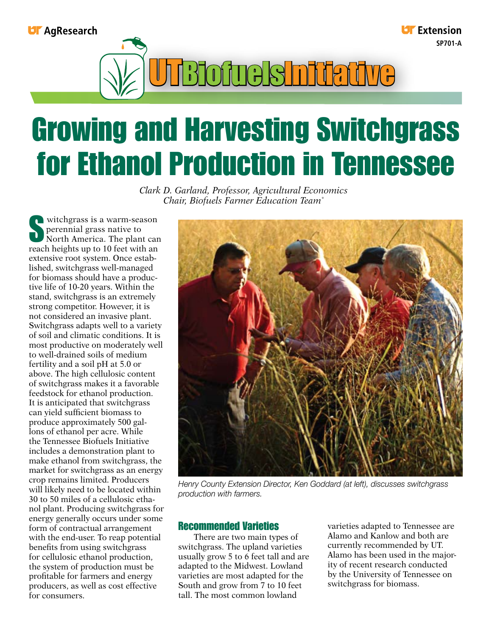# **UF** AgResearch

**Li** Extension **SP701-A**



# Growing and Harvesting Switchgrass for Ethanol Production in Tennessee

*Clark D. Garland, Professor, Agricultural Economics Chair, Biofuels Farmer Education Team\**

Witchgrass is a warm-season perennial grass native to North America. The plant can reach heights up to 10 feet with an extensive root system. Once established, switchgrass well-managed for biomass should have a productive life of 10-20 years. Within the stand, switchgrass is an extremely strong competitor. However, it is not considered an invasive plant. Switchgrass adapts well to a variety of soil and climatic conditions. It is most productive on moderately well to well-drained soils of medium fertility and a soil pH at 5.0 or above. The high cellulosic content of switchgrass makes it a favorable feedstock for ethanol production. It is anticipated that switchgrass can yield sufficient biomass to produce approximately 500 gallons of ethanol per acre. While the Tennessee Biofuels Initiative includes a demonstration plant to make ethanol from switchgrass, the market for switchgrass as an energy crop remains limited. Producers will likely need to be located within 30 to 50 miles of a cellulosic ethanol plant. Producing switchgrass for energy generally occurs under some form of contractual arrangement with the end-user. To reap potential benefits from using switchgrass for cellulosic ethanol production, the system of production must be profitable for farmers and energy producers, as well as cost effective for consumers.



*Henry County Extension Director, Ken Goddard (at left), discusses switchgrass production with farmers.*

# Recommended Varieties

There are two main types of switchgrass. The upland varieties usually grow 5 to 6 feet tall and are adapted to the Midwest. Lowland varieties are most adapted for the South and grow from 7 to 10 feet tall. The most common lowland

varieties adapted to Tennessee are Alamo and Kanlow and both are currently recommended by UT. Alamo has been used in the majority of recent research conducted by the University of Tennessee on switchgrass for biomass.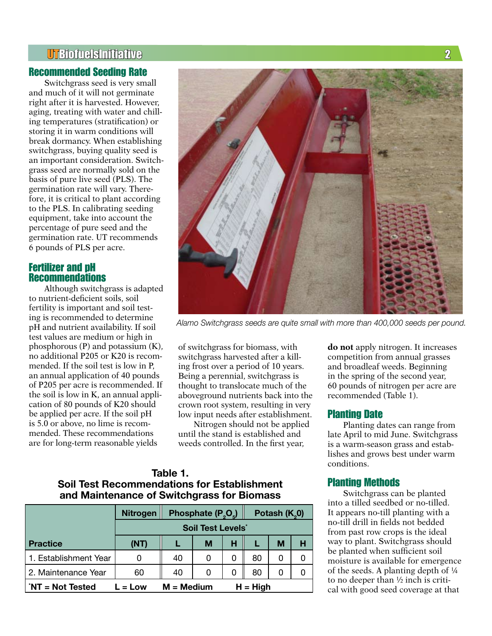# UTBiofuelsInitiative 2

## Recommended Seeding Rate

Switchgrass seed is very small and much of it will not germinate right after it is harvested. However, aging, treating with water and chilling temperatures (stratification) or storing it in warm conditions will break dormancy. When establishing switchgrass, buying quality seed is an important consideration. Switchgrass seed are normally sold on the basis of pure live seed (PLS). The germination rate will vary. Therefore, it is critical to plant according to the PLS. In calibrating seeding equipment, take into account the percentage of pure seed and the germination rate. UT recommends 6 pounds of PLS per acre.

## Fertilizer and pH Recommendations

Although switchgrass is adapted to nutrient-deficient soils, soil fertility is important and soil testing is recommended to determine pH and nutrient availability. If soil test values are medium or high in phosphorous (P) and potassium (K), no additional P205 or K20 is recommended. If the soil test is low in P, an annual application of 40 pounds of P205 per acre is recommended. If the soil is low in K, an annual application of 80 pounds of K20 should be applied per acre. If the soil pH is 5.0 or above, no lime is recommended. These recommendations are for long-term reasonable yields



*Alamo Switchgrass seeds are quite small with more than 400,000 seeds per pound.*

of switchgrass for biomass, with switchgrass harvested after a killing frost over a period of 10 years. Being a perennial, switchgrass is thought to translocate much of the aboveground nutrients back into the crown root system, resulting in very low input needs after establishment.

Nitrogen should not be applied until the stand is established and weeds controlled. In the first year,

# **Table 1. Soil Test Recommendations for Establishment and Maintenance of Switchgrass for Biomass**

|                                               | <b>Nitrogen</b>                     | Phosphate $(P_2O_5)$ |   |            | Potash (K <sub>2</sub> 0) |   |   |
|-----------------------------------------------|-------------------------------------|----------------------|---|------------|---------------------------|---|---|
|                                               | <b>Soil Test Levels<sup>*</sup></b> |                      |   |            |                           |   |   |
| <b>Practice</b>                               | (NT)                                |                      | М | н          |                           | M | н |
| 1. Establishment Year                         |                                     | 40                   | 0 | 0          | 80                        | O |   |
| 2. Maintenance Year                           | 60                                  | 40                   | 0 | 0          | 80                        | O |   |
| $N = Not$ Tested<br>$M = Medium$<br>$L = Low$ |                                     |                      |   | $H = High$ |                           |   |   |

**do not** apply nitrogen. It increases competition from annual grasses and broadleaf weeds. Beginning in the spring of the second year, 60 pounds of nitrogen per acre are recommended (Table 1).

#### Planting Date

Planting dates can range from late April to mid June. Switchgrass is a warm-season grass and establishes and grows best under warm conditions.

## Planting Methods

Switchgrass can be planted into a tilled seedbed or no-tilled. It appears no-till planting with a no-till drill in fields not bedded from past row crops is the ideal way to plant. Switchgrass should be planted when sufficient soil moisture is available for emergence of the seeds. A planting depth of ¼ to no deeper than ½ inch is critical with good seed coverage at that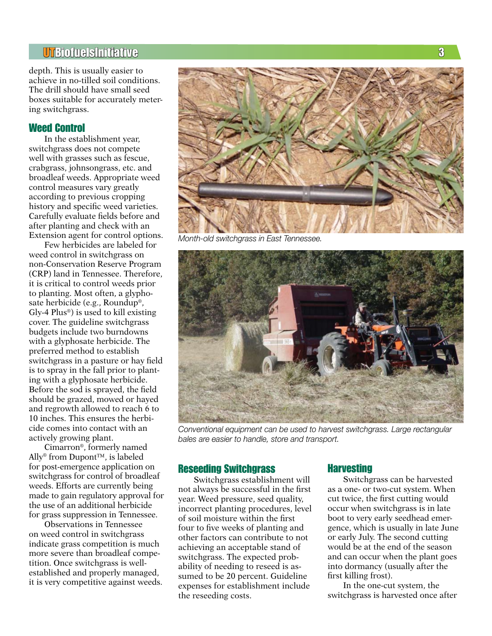# UTBiofuelsInitiative 3

depth. This is usually easier to achieve in no-tilled soil conditions. The drill should have small seed boxes suitable for accurately metering switchgrass.

## Weed Control

In the establishment year, switchgrass does not compete well with grasses such as fescue, crabgrass, johnsongrass, etc. and broadleaf weeds. Appropriate weed control measures vary greatly according to previous cropping history and specific weed varieties. Carefully evaluate fields before and after planting and check with an Extension agent for control options.

Few herbicides are labeled for weed control in switchgrass on non-Conservation Reserve Program (CRP) land in Tennessee. Therefore, it is critical to control weeds prior to planting. Most often, a glyphosate herbicide (e.g., Roundup®, Gly-4  $Plus<sup>®</sup>$ ) is used to kill existing cover. The guideline switchgrass budgets include two burndowns with a glyphosate herbicide. The preferred method to establish switchgrass in a pasture or hay field is to spray in the fall prior to planting with a glyphosate herbicide. Before the sod is sprayed, the field should be grazed, mowed or hayed and regrowth allowed to reach 6 to 10 inches. This ensures the herbicide comes into contact with an actively growing plant.

Cimarron®, formerly named Ally® from Dupont™, is labeled for post-emergence application on switchgrass for control of broadleaf weeds. Efforts are currently being made to gain regulatory approval for the use of an additional herbicide for grass suppression in Tennessee.

Observations in Tennessee on weed control in switchgrass indicate grass competition is much more severe than broadleaf competition. Once switchgrass is wellestablished and properly managed, it is very competitive against weeds.



*Month-old switchgrass in East Tennessee.*



*Conventional equipment can be used to harvest switchgrass. Large rectangular bales are easier to handle, store and transport.*

#### Reseeding Switchgrass

Switchgrass establishment will not always be successful in the first year. Weed pressure, seed quality, incorrect planting procedures, level of soil moisture within the first four to five weeks of planting and other factors can contribute to not achieving an acceptable stand of switchgrass. The expected probability of needing to reseed is assumed to be 20 percent. Guideline expenses for establishment include the reseeding costs.

#### Harvesting

Switchgrass can be harvested as a one- or two-cut system. When cut twice, the first cutting would occur when switchgrass is in late boot to very early seedhead emergence, which is usually in late June or early July. The second cutting would be at the end of the season and can occur when the plant goes into dormancy (usually after the first killing frost).

In the one-cut system, the switchgrass is harvested once after